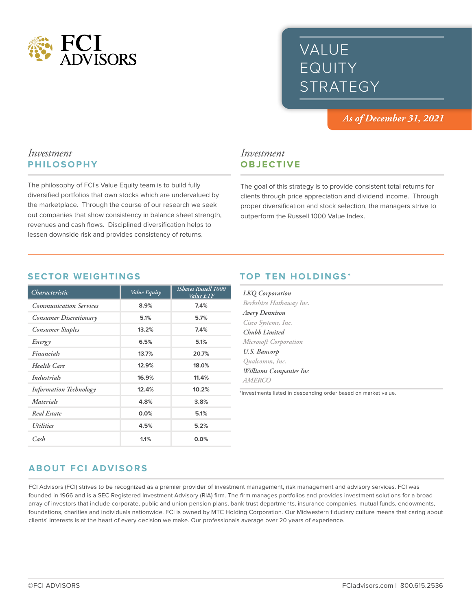

# VALUE EQUITY STRATEGY

*As of December 31, 2021*

### *Investment* **PHILOSOPHY**

The philosophy of FCI's Value Equity team is to build fully diversified portfolios that own stocks which are undervalued by the marketplace. Through the course of our research we seek out companies that show consistency in balance sheet strength, revenues and cash flows. Disciplined diversification helps to lessen downside risk and provides consistency of returns.

## *Investment* **OBJECTIVE**

The goal of this strategy is to provide consistent total returns for clients through price appreciation and dividend income. Through proper diversification and stock selection, the managers strive to outperform the Russell 1000 Value Index.

#### **SECTOR WEIGHTINGS**

| Characteristic                 | Value Equity | <i>iShares Russell 1000</i><br><i>Value ETF</i> |
|--------------------------------|--------------|-------------------------------------------------|
| <b>Communication Services</b>  | 8.9%         | 7.4%                                            |
| Consumer Discretionary         | 5.1%         | 5.7%                                            |
| <b>Consumer Staples</b>        | 13.2%        | 7.4%                                            |
| Energy                         | 6.5%         | 5.1%                                            |
| Financials                     | 13.7%        | 20.7%                                           |
| <b>Health Care</b>             | 12.9%        | 18.0%                                           |
| Industrials                    | 16.9%        | 11.4%                                           |
| <b>Information Technology</b>  | 12.4%        | 10.2%                                           |
| Materials                      | 4.8%         | 3.8%                                            |
| Real Estate                    | 0.0%         | 5.1%                                            |
| <i><u><b>Utilities</b></u></i> | 4.5%         | 5.2%                                            |
| $\mathcal{C}$ <sub>as</sub> h  | 1.1%         | 0.0%                                            |

#### **TOP TEN HOLDINGS\***

| <b>LKQ</b> Corporation  |
|-------------------------|
| Berkshire Hathaway Inc. |
| Avery Dennison          |
| Cisco Systems, Inc.     |
| Chubb Limited           |
| Microsoft Corporation   |
| U.S. Bancorp            |
| Qualcomm, Inc.          |
| Williams Companies Inc  |
| <i>AMERCO</i>           |
|                         |

\*Investments listed in descending order based on market value.

## **ABOUT FCI ADVISORS**

FCI Advisors (FCI) strives to be recognized as a premier provider of investment management, risk management and advisory services. FCI was founded in 1966 and is a SEC Registered Investment Advisory (RIA) firm. The firm manages portfolios and provides investment solutions for a broad array of investors that include corporate, public and union pension plans, bank trust departments, insurance companies, mutual funds, endowments, foundations, charities and individuals nationwide. FCI is owned by MTC Holding Corporation. Our Midwestern fiduciary culture means that caring about clients' interests is at the heart of every decision we make. Our professionals average over 20 years of experience.